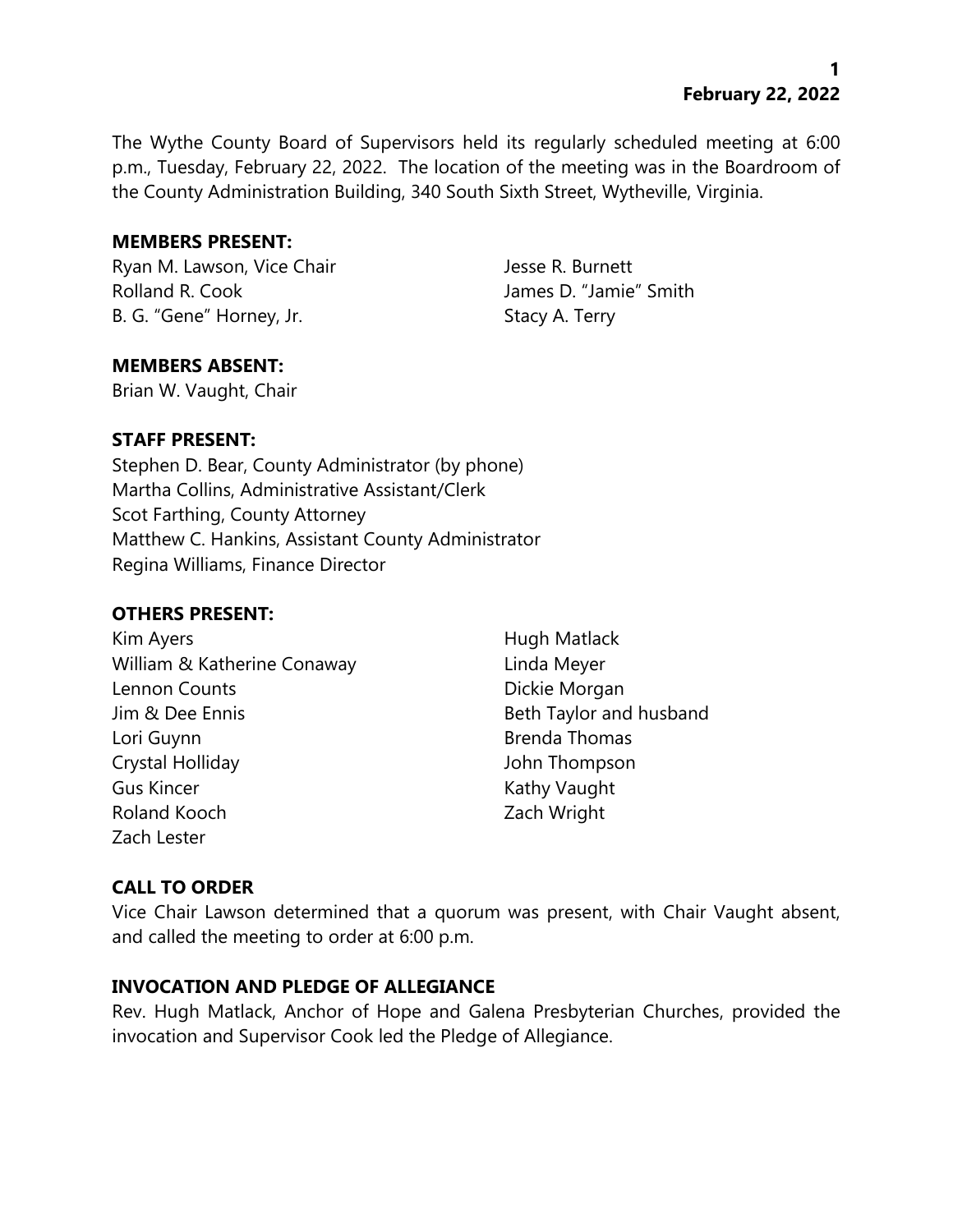**1 February 22, 2022**

The Wythe County Board of Supervisors held its regularly scheduled meeting at 6:00 p.m., Tuesday, February 22, 2022. The location of the meeting was in the Boardroom of the County Administration Building, 340 South Sixth Street, Wytheville, Virginia.

#### **MEMBERS PRESENT:**

Ryan M. Lawson, Vice Chair **Jesse R. Burnett** Rolland R. Cook James D. "Jamie" Smith B. G. "Gene" Horney, Jr. Stacy A. Terry

## **MEMBERS ABSENT:**

Brian W. Vaught, Chair

#### **STAFF PRESENT:**

Stephen D. Bear, County Administrator (by phone) Martha Collins, Administrative Assistant/Clerk Scot Farthing, County Attorney Matthew C. Hankins, Assistant County Administrator Regina Williams, Finance Director

## **OTHERS PRESENT:**

Kim Ayers **Hugh Matlack** William & Katherine Conaway **Linda Meyer** Lennon Counts **Dickie Morgan** Jim & Dee Ennis **Beth Taylor and husband** Lori Guynn **Brenda Thomas** Crystal Holliday John Thompson Gus Kincer **Kathy Vaught** Kathy Vaught Roland Kooch Zach Wright Zach Lester

## **CALL TO ORDER**

Vice Chair Lawson determined that a quorum was present, with Chair Vaught absent, and called the meeting to order at 6:00 p.m.

## **INVOCATION AND PLEDGE OF ALLEGIANCE**

Rev. Hugh Matlack, Anchor of Hope and Galena Presbyterian Churches, provided the invocation and Supervisor Cook led the Pledge of Allegiance.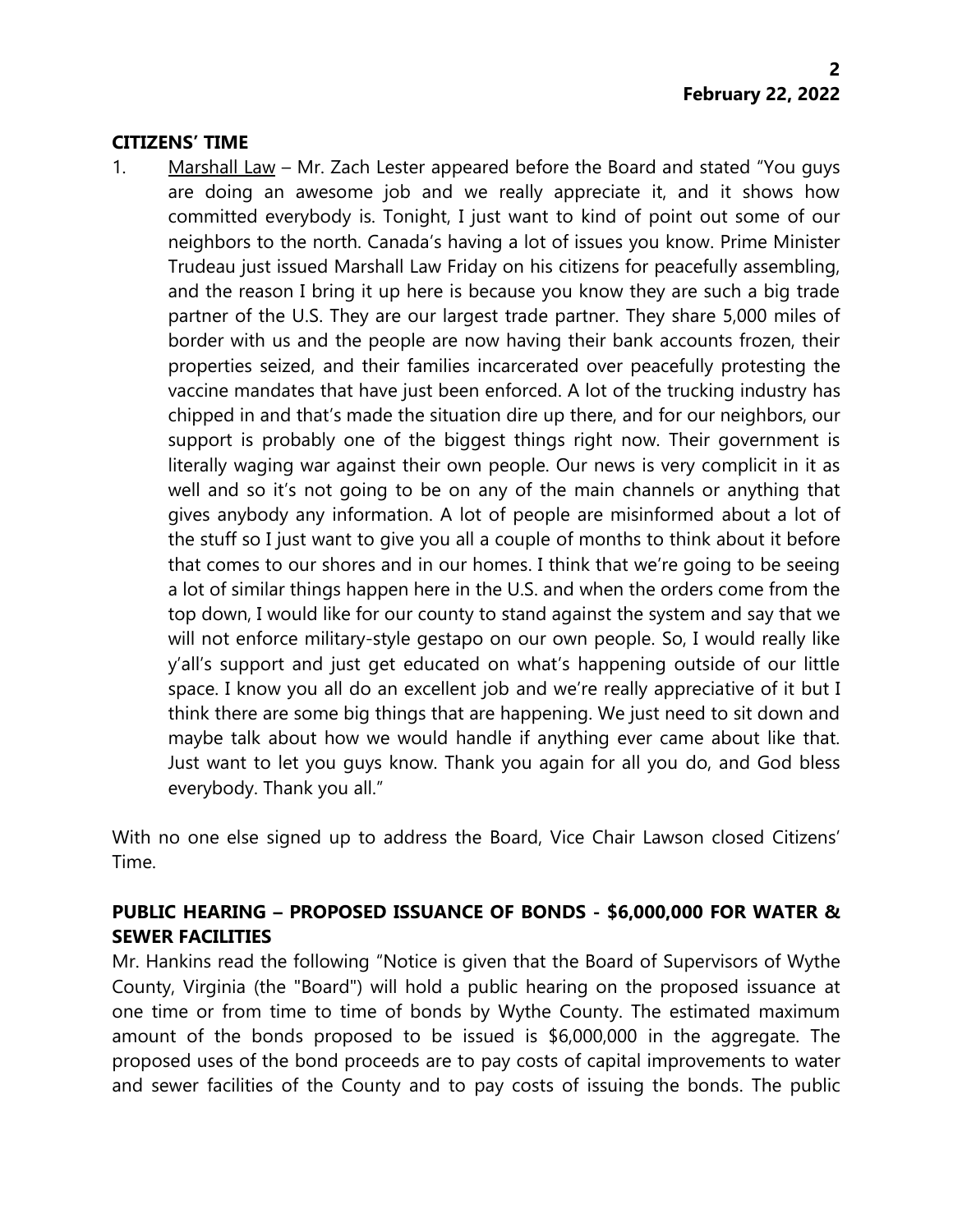#### **CITIZENS' TIME**

1. Marshall Law – Mr. Zach Lester appeared before the Board and stated "You guys are doing an awesome job and we really appreciate it, and it shows how committed everybody is. Tonight, I just want to kind of point out some of our neighbors to the north. Canada's having a lot of issues you know. Prime Minister Trudeau just issued Marshall Law Friday on his citizens for peacefully assembling, and the reason I bring it up here is because you know they are such a big trade partner of the U.S. They are our largest trade partner. They share 5,000 miles of border with us and the people are now having their bank accounts frozen, their properties seized, and their families incarcerated over peacefully protesting the vaccine mandates that have just been enforced. A lot of the trucking industry has chipped in and that's made the situation dire up there, and for our neighbors, our support is probably one of the biggest things right now. Their government is literally waging war against their own people. Our news is very complicit in it as well and so it's not going to be on any of the main channels or anything that gives anybody any information. A lot of people are misinformed about a lot of the stuff so I just want to give you all a couple of months to think about it before that comes to our shores and in our homes. I think that we're going to be seeing a lot of similar things happen here in the U.S. and when the orders come from the top down, I would like for our county to stand against the system and say that we will not enforce military-style gestapo on our own people. So, I would really like y'all's support and just get educated on what's happening outside of our little space. I know you all do an excellent job and we're really appreciative of it but I think there are some big things that are happening. We just need to sit down and maybe talk about how we would handle if anything ever came about like that. Just want to let you guys know. Thank you again for all you do, and God bless everybody. Thank you all."

With no one else signed up to address the Board, Vice Chair Lawson closed Citizens' Time.

# **PUBLIC HEARING – PROPOSED ISSUANCE OF BONDS - \$6,000,000 FOR WATER & SEWER FACILITIES**

Mr. Hankins read the following "Notice is given that the Board of Supervisors of Wythe County, Virginia (the "Board") will hold a public hearing on the proposed issuance at one time or from time to time of bonds by Wythe County. The estimated maximum amount of the bonds proposed to be issued is \$6,000,000 in the aggregate. The proposed uses of the bond proceeds are to pay costs of capital improvements to water and sewer facilities of the County and to pay costs of issuing the bonds. The public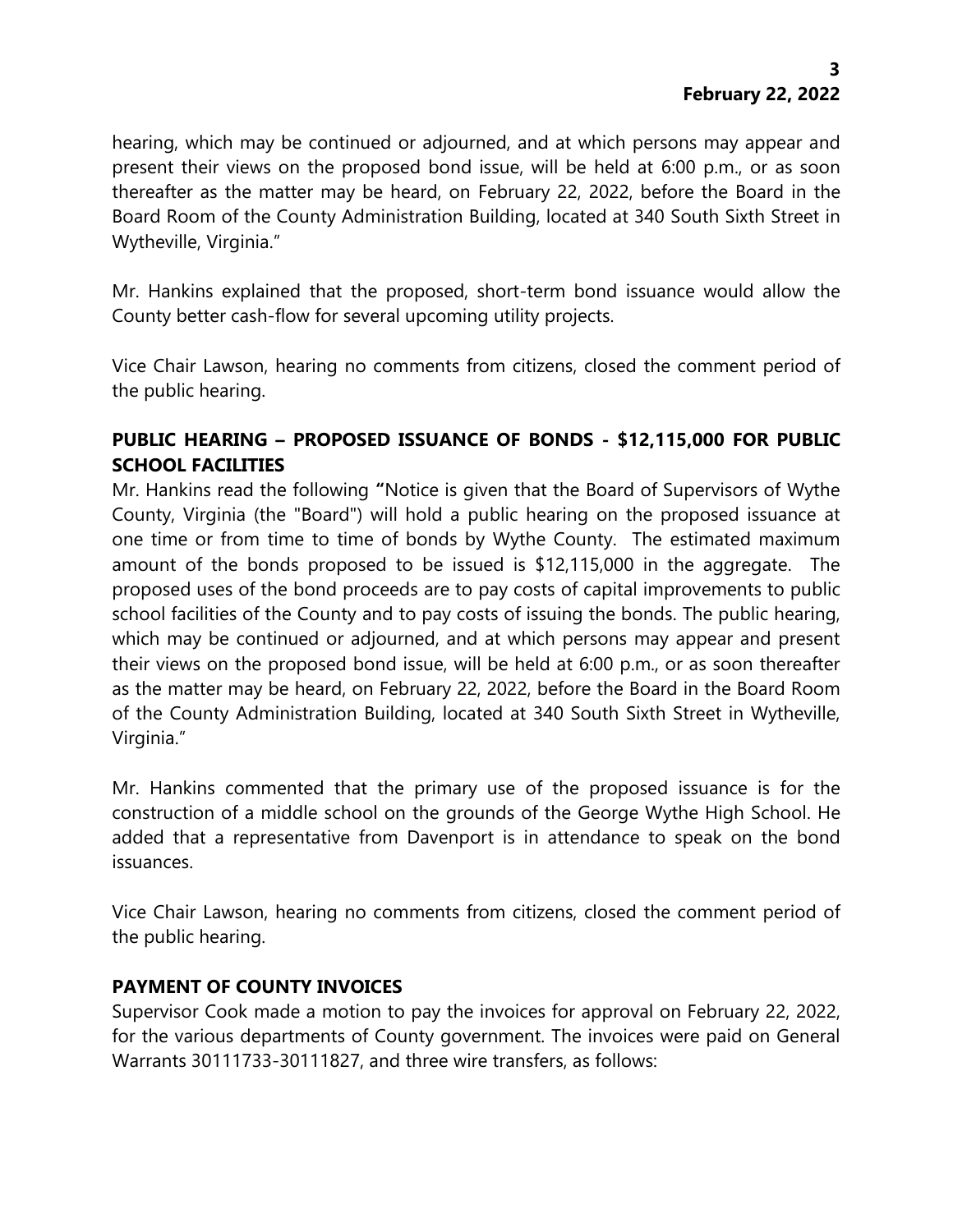hearing, which may be continued or adjourned, and at which persons may appear and present their views on the proposed bond issue, will be held at 6:00 p.m., or as soon thereafter as the matter may be heard, on February 22, 2022, before the Board in the Board Room of the County Administration Building, located at 340 South Sixth Street in Wytheville, Virginia."

Mr. Hankins explained that the proposed, short-term bond issuance would allow the County better cash-flow for several upcoming utility projects.

Vice Chair Lawson, hearing no comments from citizens, closed the comment period of the public hearing.

# **PUBLIC HEARING – PROPOSED ISSUANCE OF BONDS - \$12,115,000 FOR PUBLIC SCHOOL FACILITIES**

Mr. Hankins read the following **"**Notice is given that the Board of Supervisors of Wythe County, Virginia (the "Board") will hold a public hearing on the proposed issuance at one time or from time to time of bonds by Wythe County. The estimated maximum amount of the bonds proposed to be issued is \$12,115,000 in the aggregate. The proposed uses of the bond proceeds are to pay costs of capital improvements to public school facilities of the County and to pay costs of issuing the bonds. The public hearing, which may be continued or adjourned, and at which persons may appear and present their views on the proposed bond issue, will be held at 6:00 p.m., or as soon thereafter as the matter may be heard, on February 22, 2022, before the Board in the Board Room of the County Administration Building, located at 340 South Sixth Street in Wytheville, Virginia."

Mr. Hankins commented that the primary use of the proposed issuance is for the construction of a middle school on the grounds of the George Wythe High School. He added that a representative from Davenport is in attendance to speak on the bond issuances.

Vice Chair Lawson, hearing no comments from citizens, closed the comment period of the public hearing.

## **PAYMENT OF COUNTY INVOICES**

Supervisor Cook made a motion to pay the invoices for approval on February 22, 2022, for the various departments of County government. The invoices were paid on General Warrants 30111733-30111827, and three wire transfers, as follows: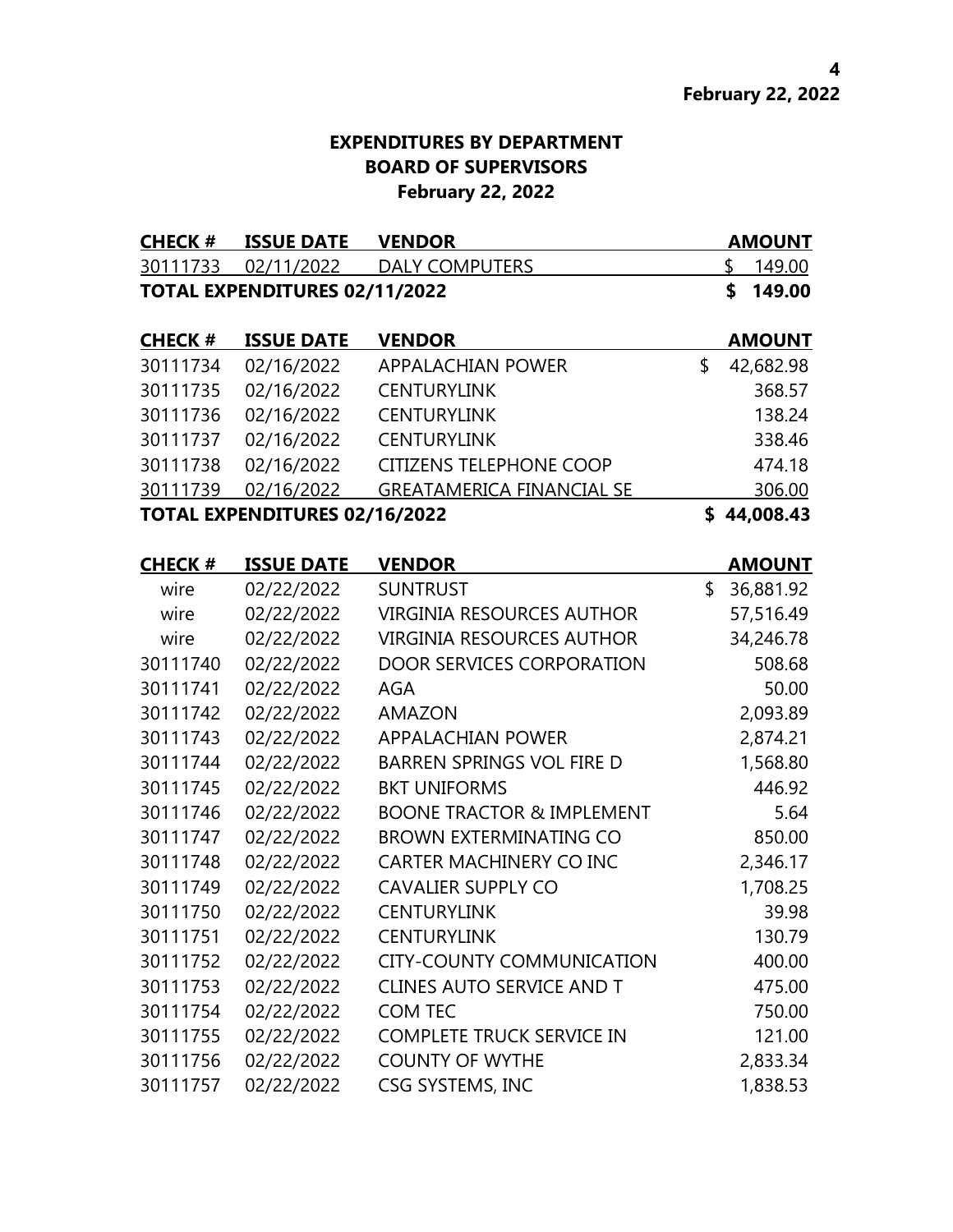# **EXPENDITURES BY DEPARTMENT BOARD OF SUPERVISORS February 22, 2022**

| <b>CHECK#</b>  | <b>ISSUE DATE</b><br><b>VENDOR</b>   |                                      |    | <b>AMOUNT</b> |
|----------------|--------------------------------------|--------------------------------------|----|---------------|
| 30111733       | 02/11/2022                           | <b>DALY COMPUTERS</b>                | \$ | 149.00        |
|                | TOTAL EXPENDITURES 02/11/2022        |                                      | \$ | 149.00        |
|                |                                      |                                      |    |               |
| <b>CHECK #</b> | <b>ISSUE DATE</b>                    | <b>VENDOR</b>                        |    | <b>AMOUNT</b> |
| 30111734       | 02/16/2022                           | <b>APPALACHIAN POWER</b>             | \$ | 42,682.98     |
| 30111735       | 02/16/2022                           | <b>CENTURYLINK</b>                   |    | 368.57        |
| 30111736       | 02/16/2022                           | <b>CENTURYLINK</b>                   |    | 138.24        |
| 30111737       | 02/16/2022                           | <b>CENTURYLINK</b>                   |    | 338.46        |
| 30111738       | 02/16/2022                           | <b>CITIZENS TELEPHONE COOP</b>       |    | 474.18        |
| 30111739       | 02/16/2022                           | <b>GREATAMERICA FINANCIAL SE</b>     |    | 306.00        |
|                | <b>TOTAL EXPENDITURES 02/16/2022</b> |                                      |    | \$44,008.43   |
| <b>CHECK#</b>  | <b>ISSUE DATE</b>                    | <b>VENDOR</b>                        |    | <b>AMOUNT</b> |
| wire           | 02/22/2022                           | <b>SUNTRUST</b>                      | \$ | 36,881.92     |
| wire           | 02/22/2022                           | <b>VIRGINIA RESOURCES AUTHOR</b>     |    | 57,516.49     |
| wire           | 02/22/2022                           | <b>VIRGINIA RESOURCES AUTHOR</b>     |    | 34,246.78     |
| 30111740       | 02/22/2022                           | <b>DOOR SERVICES CORPORATION</b>     |    | 508.68        |
| 30111741       | 02/22/2022                           | <b>AGA</b>                           |    | 50.00         |
| 30111742       | 02/22/2022                           | <b>AMAZON</b>                        |    | 2,093.89      |
| 30111743       | 02/22/2022                           | <b>APPALACHIAN POWER</b>             |    | 2,874.21      |
| 30111744       | 02/22/2022                           | <b>BARREN SPRINGS VOL FIRE D</b>     |    | 1,568.80      |
| 30111745       | 02/22/2022                           | <b>BKT UNIFORMS</b>                  |    | 446.92        |
| 30111746       | 02/22/2022                           | <b>BOONE TRACTOR &amp; IMPLEMENT</b> |    | 5.64          |
| 30111747       | 02/22/2022                           | <b>BROWN EXTERMINATING CO</b>        |    | 850.00        |
| 30111748       | 02/22/2022                           | CARTER MACHINERY CO INC              |    | 2,346.17      |
| 30111749       | 02/22/2022                           | <b>CAVALIER SUPPLY CO</b>            |    | 1,708.25      |
| 30111750       | 02/22/2022                           | <b>CENTURYLINK</b>                   |    | 39.98         |
| 30111751       | 02/22/2022                           | <b>CENTURYLINK</b>                   |    | 130.79        |
| 30111752       | 02/22/2022                           | <b>CITY-COUNTY COMMUNICATION</b>     |    | 400.00        |
| 30111753       | 02/22/2022                           | <b>CLINES AUTO SERVICE AND T</b>     |    | 475.00        |
| 30111754       | 02/22/2022                           | COM TEC                              |    | 750.00        |
| 30111755       | 02/22/2022                           | <b>COMPLETE TRUCK SERVICE IN</b>     |    | 121.00        |
| 30111756       | 02/22/2022                           | <b>COUNTY OF WYTHE</b>               |    | 2,833.34      |
| 30111757       | 02/22/2022                           | CSG SYSTEMS, INC                     |    | 1,838.53      |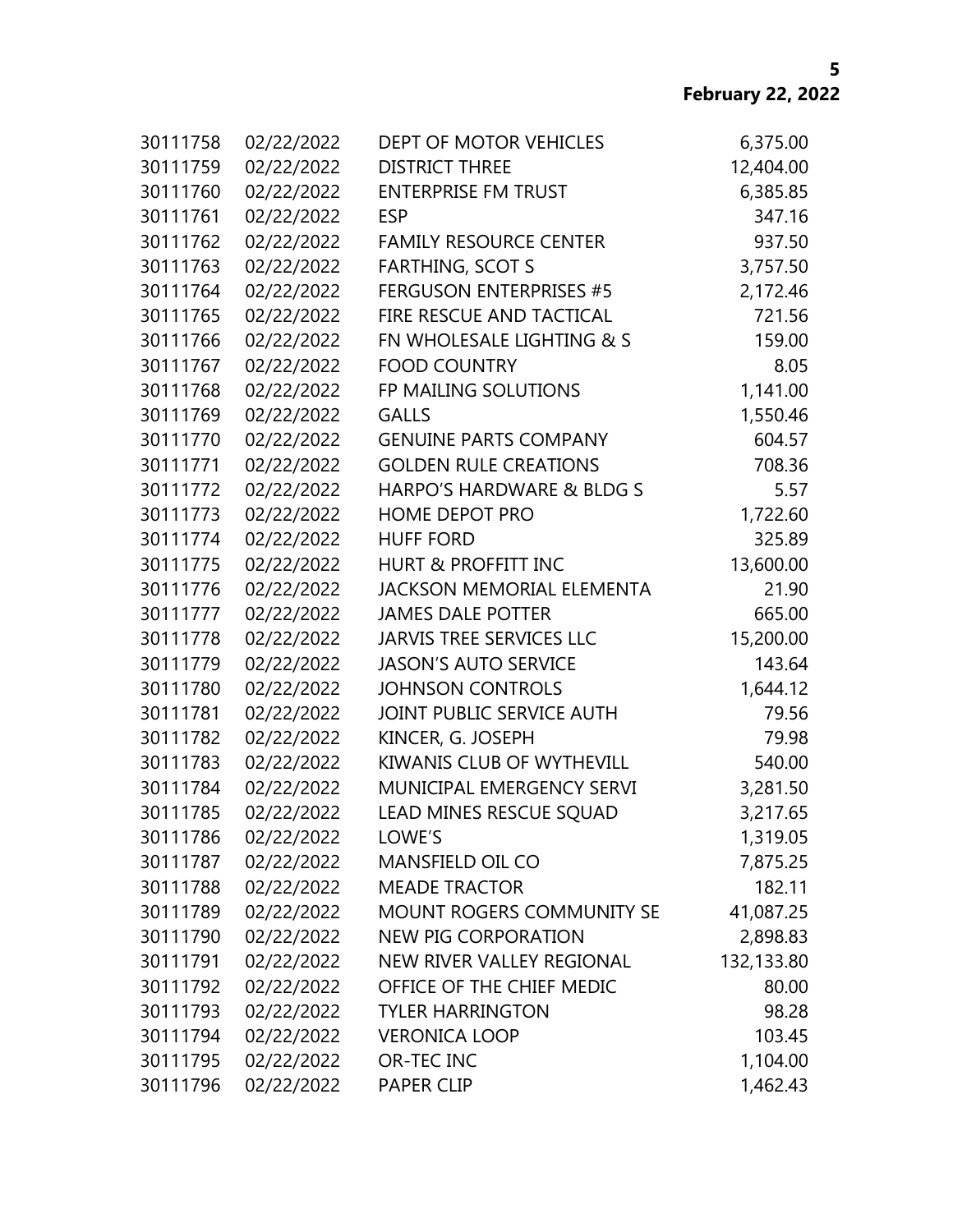| 30111758 | 02/22/2022 | DEPT OF MOTOR VEHICLES           | 6,375.00   |
|----------|------------|----------------------------------|------------|
| 30111759 | 02/22/2022 | <b>DISTRICT THREE</b>            | 12,404.00  |
| 30111760 | 02/22/2022 | <b>ENTERPRISE FM TRUST</b>       | 6,385.85   |
| 30111761 | 02/22/2022 | <b>ESP</b>                       | 347.16     |
| 30111762 | 02/22/2022 | <b>FAMILY RESOURCE CENTER</b>    | 937.50     |
| 30111763 | 02/22/2022 | <b>FARTHING, SCOT S</b>          | 3,757.50   |
| 30111764 | 02/22/2022 | <b>FERGUSON ENTERPRISES #5</b>   | 2,172.46   |
| 30111765 | 02/22/2022 | FIRE RESCUE AND TACTICAL         | 721.56     |
| 30111766 | 02/22/2022 | FN WHOLESALE LIGHTING & S        | 159.00     |
| 30111767 | 02/22/2022 | <b>FOOD COUNTRY</b>              | 8.05       |
| 30111768 | 02/22/2022 | FP MAILING SOLUTIONS             | 1,141.00   |
| 30111769 | 02/22/2022 | <b>GALLS</b>                     | 1,550.46   |
| 30111770 | 02/22/2022 | <b>GENUINE PARTS COMPANY</b>     | 604.57     |
| 30111771 | 02/22/2022 | <b>GOLDEN RULE CREATIONS</b>     | 708.36     |
| 30111772 | 02/22/2022 | HARPO'S HARDWARE & BLDG S        | 5.57       |
| 30111773 | 02/22/2022 | HOME DEPOT PRO                   | 1,722.60   |
| 30111774 | 02/22/2022 | <b>HUFF FORD</b>                 | 325.89     |
| 30111775 | 02/22/2022 | <b>HURT &amp; PROFFITT INC</b>   | 13,600.00  |
| 30111776 | 02/22/2022 | <b>JACKSON MEMORIAL ELEMENTA</b> | 21.90      |
| 30111777 | 02/22/2022 | <b>JAMES DALE POTTER</b>         | 665.00     |
| 30111778 | 02/22/2022 | <b>JARVIS TREE SERVICES LLC</b>  | 15,200.00  |
| 30111779 | 02/22/2022 | <b>JASON'S AUTO SERVICE</b>      | 143.64     |
| 30111780 | 02/22/2022 | <b>JOHNSON CONTROLS</b>          | 1,644.12   |
| 30111781 | 02/22/2022 | JOINT PUBLIC SERVICE AUTH        | 79.56      |
| 30111782 | 02/22/2022 | KINCER, G. JOSEPH                | 79.98      |
| 30111783 | 02/22/2022 | KIWANIS CLUB OF WYTHEVILL        | 540.00     |
| 30111784 | 02/22/2022 | MUNICIPAL EMERGENCY SERVI        | 3,281.50   |
| 30111785 | 02/22/2022 | LEAD MINES RESCUE SQUAD          | 3,217.65   |
| 30111786 | 02/22/2022 | LOWE'S                           | 1,319.05   |
| 30111787 | 02/22/2022 | MANSFIELD OIL CO                 | 7,875.25   |
| 30111788 | 02/22/2022 | <b>MEADE TRACTOR</b>             | 182.11     |
| 30111789 | 02/22/2022 | MOUNT ROGERS COMMUNITY SE        | 41,087.25  |
| 30111790 | 02/22/2022 | <b>NEW PIG CORPORATION</b>       | 2,898.83   |
| 30111791 | 02/22/2022 | NEW RIVER VALLEY REGIONAL        | 132,133.80 |
| 30111792 | 02/22/2022 | OFFICE OF THE CHIEF MEDIC        | 80.00      |
| 30111793 | 02/22/2022 | <b>TYLER HARRINGTON</b>          | 98.28      |
| 30111794 | 02/22/2022 | <b>VERONICA LOOP</b>             | 103.45     |
| 30111795 | 02/22/2022 | OR-TEC INC                       | 1,104.00   |
| 30111796 | 02/22/2022 | PAPER CLIP                       | 1,462.43   |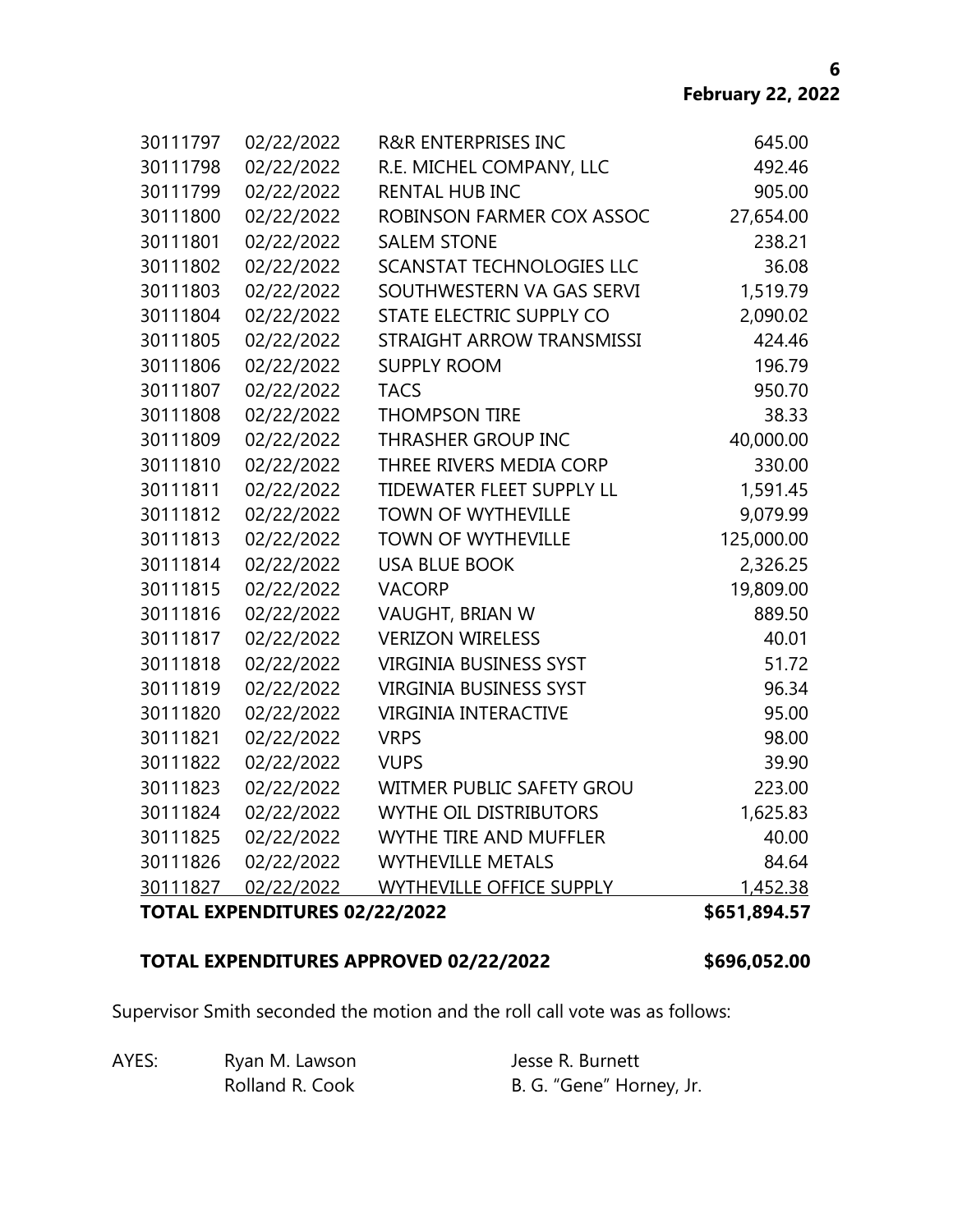| 30111797 | 02/22/2022                    | <b>R&amp;R ENTERPRISES INC</b>   | 645.00       |
|----------|-------------------------------|----------------------------------|--------------|
| 30111798 | 02/22/2022                    | R.E. MICHEL COMPANY, LLC         | 492.46       |
| 30111799 | 02/22/2022                    | <b>RENTAL HUB INC</b>            | 905.00       |
| 30111800 | 02/22/2022                    | ROBINSON FARMER COX ASSOC        | 27,654.00    |
| 30111801 | 02/22/2022                    | <b>SALEM STONE</b>               | 238.21       |
| 30111802 | 02/22/2022                    | <b>SCANSTAT TECHNOLOGIES LLC</b> | 36.08        |
| 30111803 | 02/22/2022                    | SOUTHWESTERN VA GAS SERVI        | 1,519.79     |
| 30111804 | 02/22/2022                    | STATE ELECTRIC SUPPLY CO         | 2,090.02     |
| 30111805 | 02/22/2022                    | STRAIGHT ARROW TRANSMISSI        | 424.46       |
| 30111806 | 02/22/2022                    | <b>SUPPLY ROOM</b>               | 196.79       |
| 30111807 | 02/22/2022                    | <b>TACS</b>                      | 950.70       |
| 30111808 | 02/22/2022                    | <b>THOMPSON TIRE</b>             | 38.33        |
| 30111809 | 02/22/2022                    | <b>THRASHER GROUP INC</b>        | 40,000.00    |
| 30111810 | 02/22/2022                    | THREE RIVERS MEDIA CORP          | 330.00       |
| 30111811 | 02/22/2022                    | TIDEWATER FLEET SUPPLY LL        | 1,591.45     |
| 30111812 | 02/22/2022                    | <b>TOWN OF WYTHEVILLE</b>        | 9,079.99     |
| 30111813 | 02/22/2022                    | <b>TOWN OF WYTHEVILLE</b>        | 125,000.00   |
| 30111814 | 02/22/2022                    | <b>USA BLUE BOOK</b>             | 2,326.25     |
| 30111815 | 02/22/2022                    | <b>VACORP</b>                    | 19,809.00    |
| 30111816 | 02/22/2022                    | VAUGHT, BRIAN W                  | 889.50       |
| 30111817 | 02/22/2022                    | <b>VERIZON WIRELESS</b>          | 40.01        |
| 30111818 | 02/22/2022                    | <b>VIRGINIA BUSINESS SYST</b>    | 51.72        |
| 30111819 | 02/22/2022                    | <b>VIRGINIA BUSINESS SYST</b>    | 96.34        |
| 30111820 | 02/22/2022                    | <b>VIRGINIA INTERACTIVE</b>      | 95.00        |
| 30111821 | 02/22/2022                    | <b>VRPS</b>                      | 98.00        |
| 30111822 | 02/22/2022                    | <b>VUPS</b>                      | 39.90        |
| 30111823 | 02/22/2022                    | WITMER PUBLIC SAFETY GROU        | 223.00       |
| 30111824 | 02/22/2022                    | <b>WYTHE OIL DISTRIBUTORS</b>    | 1,625.83     |
| 30111825 | 02/22/2022                    | <b>WYTHE TIRE AND MUFFLER</b>    | 40.00        |
| 30111826 | 02/22/2022                    | <b>WYTHEVILLE METALS</b>         | 84.64        |
| 30111827 | 02/22/2022                    | WYTHEVILLE OFFICE SUPPLY         | 1,452.38     |
|          | TOTAL EXPENDITURES 02/22/2022 |                                  | \$651,894.57 |

# **TOTAL EXPENDITURES APPROVED 02/22/2022** \$696,052.00

Supervisor Smith seconded the motion and the roll call vote was as follows:

| AYES: | Ryan M. Lawson  | Jesse R. Burnett         |  |
|-------|-----------------|--------------------------|--|
|       | Rolland R. Cook | B. G. "Gene" Horney, Jr. |  |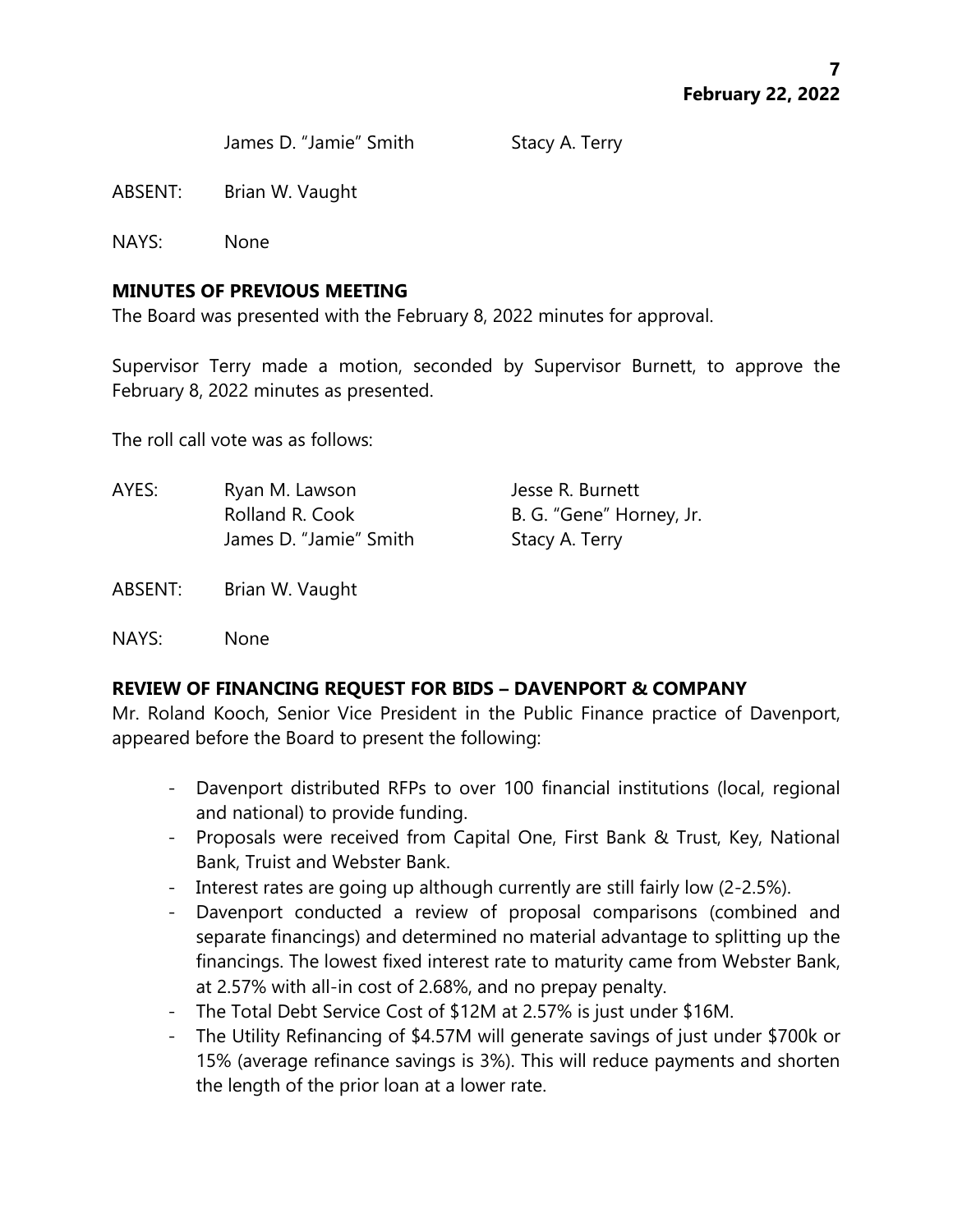James D. "Jamie" Smith Stacy A. Terry

ABSENT: Brian W. Vaught

NAYS: None

## **MINUTES OF PREVIOUS MEETING**

The Board was presented with the February 8, 2022 minutes for approval.

Supervisor Terry made a motion, seconded by Supervisor Burnett, to approve the February 8, 2022 minutes as presented.

The roll call vote was as follows:

AYES: Ryan M. Lawson Jesse R. Burnett Rolland R. Cook B. G. "Gene" Horney, Jr. James D. "Jamie" Smith Stacy A. Terry

ABSENT: Brian W. Vaught

NAYS: None

# **REVIEW OF FINANCING REQUEST FOR BIDS – DAVENPORT & COMPANY**

Mr. Roland Kooch, Senior Vice President in the Public Finance practice of Davenport, appeared before the Board to present the following:

- Davenport distributed RFPs to over 100 financial institutions (local, regional and national) to provide funding.
- Proposals were received from Capital One, First Bank & Trust, Key, National Bank, Truist and Webster Bank.
- Interest rates are going up although currently are still fairly low (2-2.5%).
- Davenport conducted a review of proposal comparisons (combined and separate financings) and determined no material advantage to splitting up the financings. The lowest fixed interest rate to maturity came from Webster Bank, at 2.57% with all-in cost of 2.68%, and no prepay penalty.
- The Total Debt Service Cost of \$12M at 2.57% is just under \$16M.
- The Utility Refinancing of \$4.57M will generate savings of just under \$700k or 15% (average refinance savings is 3%). This will reduce payments and shorten the length of the prior loan at a lower rate.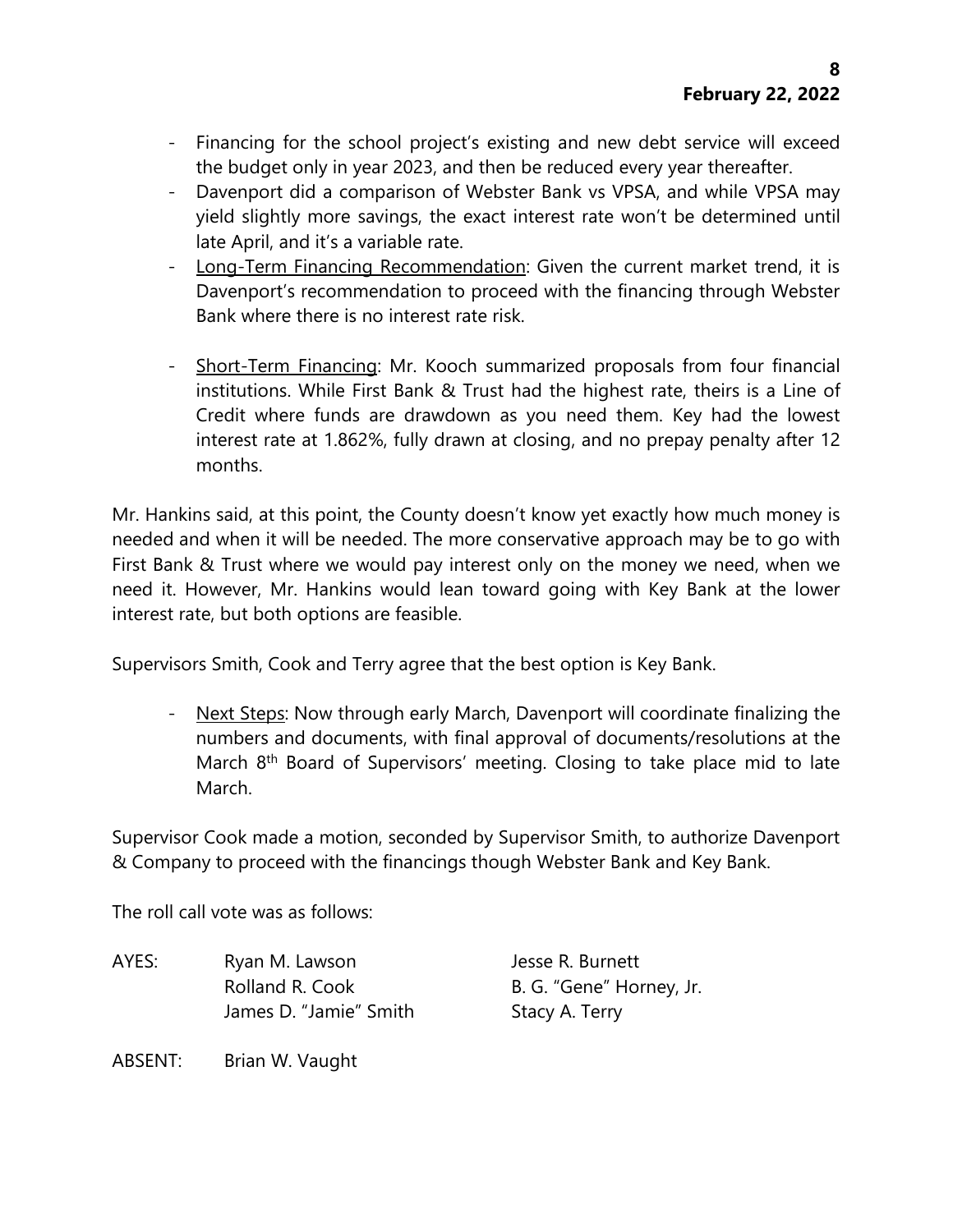- Financing for the school project's existing and new debt service will exceed the budget only in year 2023, and then be reduced every year thereafter.
- Davenport did a comparison of Webster Bank vs VPSA, and while VPSA may yield slightly more savings, the exact interest rate won't be determined until late April, and it's a variable rate.
- Long-Term Financing Recommendation: Given the current market trend, it is Davenport's recommendation to proceed with the financing through Webster Bank where there is no interest rate risk.
- Short-Term Financing: Mr. Kooch summarized proposals from four financial institutions. While First Bank & Trust had the highest rate, theirs is a Line of Credit where funds are drawdown as you need them. Key had the lowest interest rate at 1.862%, fully drawn at closing, and no prepay penalty after 12 months.

Mr. Hankins said, at this point, the County doesn't know yet exactly how much money is needed and when it will be needed. The more conservative approach may be to go with First Bank & Trust where we would pay interest only on the money we need, when we need it. However, Mr. Hankins would lean toward going with Key Bank at the lower interest rate, but both options are feasible.

Supervisors Smith, Cook and Terry agree that the best option is Key Bank.

- Next Steps: Now through early March, Davenport will coordinate finalizing the numbers and documents, with final approval of documents/resolutions at the March 8<sup>th</sup> Board of Supervisors' meeting. Closing to take place mid to late March.

Supervisor Cook made a motion, seconded by Supervisor Smith, to authorize Davenport & Company to proceed with the financings though Webster Bank and Key Bank.

The roll call vote was as follows:

AYES: Ryan M. Lawson Jesse R. Burnett Rolland R. Cook B. G. "Gene" Horney, Jr. James D. "Jamie" Smith Stacy A. Terry

ABSENT: Brian W. Vaught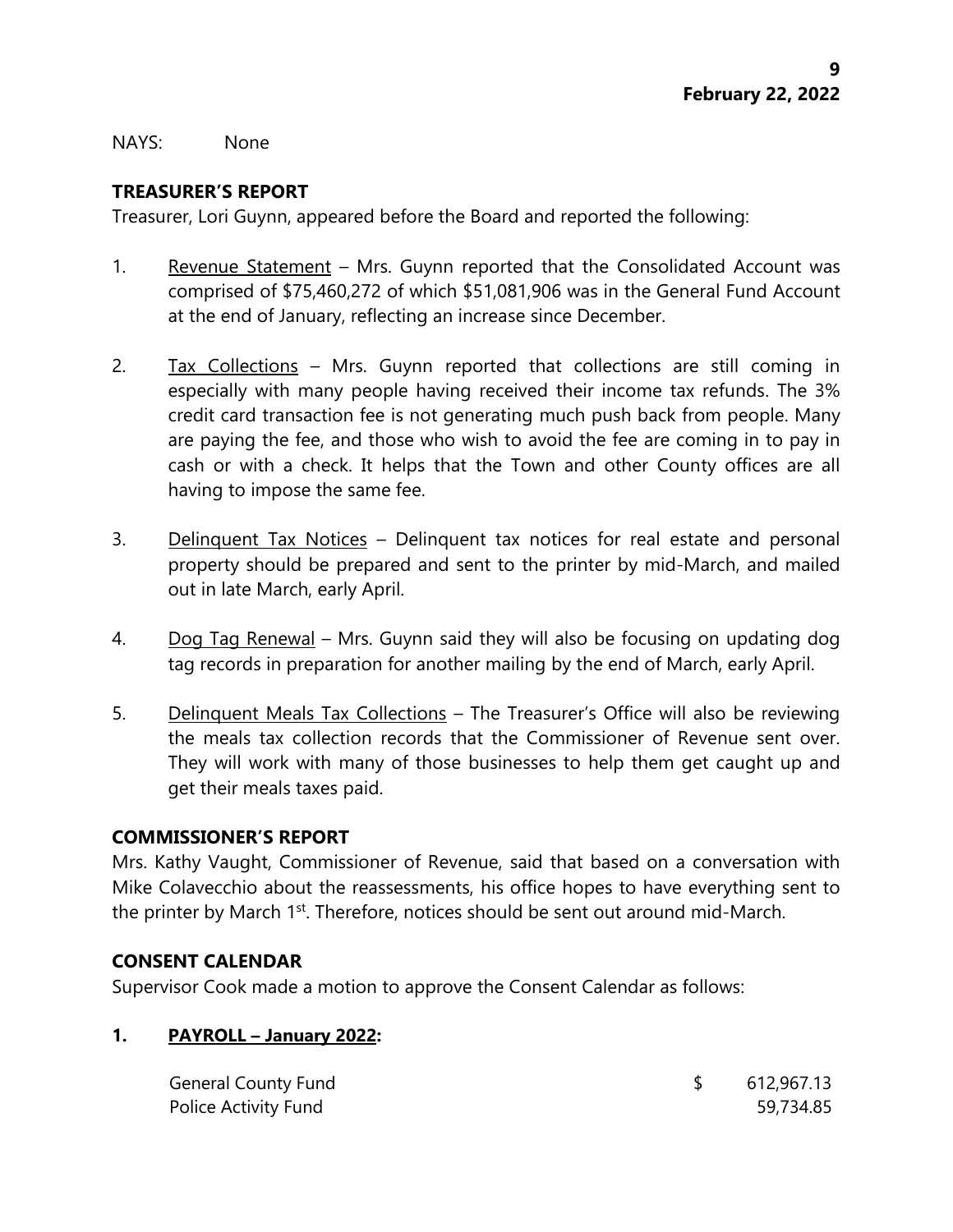NAYS: None

## **TREASURER'S REPORT**

Treasurer, Lori Guynn, appeared before the Board and reported the following:

- 1. Revenue Statement Mrs. Guynn reported that the Consolidated Account was comprised of \$75,460,272 of which \$51,081,906 was in the General Fund Account at the end of January, reflecting an increase since December.
- 2. Tax Collections Mrs. Guynn reported that collections are still coming in especially with many people having received their income tax refunds. The 3% credit card transaction fee is not generating much push back from people. Many are paying the fee, and those who wish to avoid the fee are coming in to pay in cash or with a check. It helps that the Town and other County offices are all having to impose the same fee.
- 3. Delinquent Tax Notices Delinquent tax notices for real estate and personal property should be prepared and sent to the printer by mid-March, and mailed out in late March, early April.
- 4. Dog Tag Renewal Mrs. Guynn said they will also be focusing on updating dog tag records in preparation for another mailing by the end of March, early April.
- 5. Delinquent Meals Tax Collections The Treasurer's Office will also be reviewing the meals tax collection records that the Commissioner of Revenue sent over. They will work with many of those businesses to help them get caught up and get their meals taxes paid.

## **COMMISSIONER'S REPORT**

Mrs. Kathy Vaught, Commissioner of Revenue, said that based on a conversation with Mike Colavecchio about the reassessments, his office hopes to have everything sent to the printer by March 1<sup>st</sup>. Therefore, notices should be sent out around mid-March.

## **CONSENT CALENDAR**

Supervisor Cook made a motion to approve the Consent Calendar as follows:

## **1. PAYROLL – January 2022:**

| <b>General County Fund</b> | 612,967.13 |
|----------------------------|------------|
| Police Activity Fund       | 59,734.85  |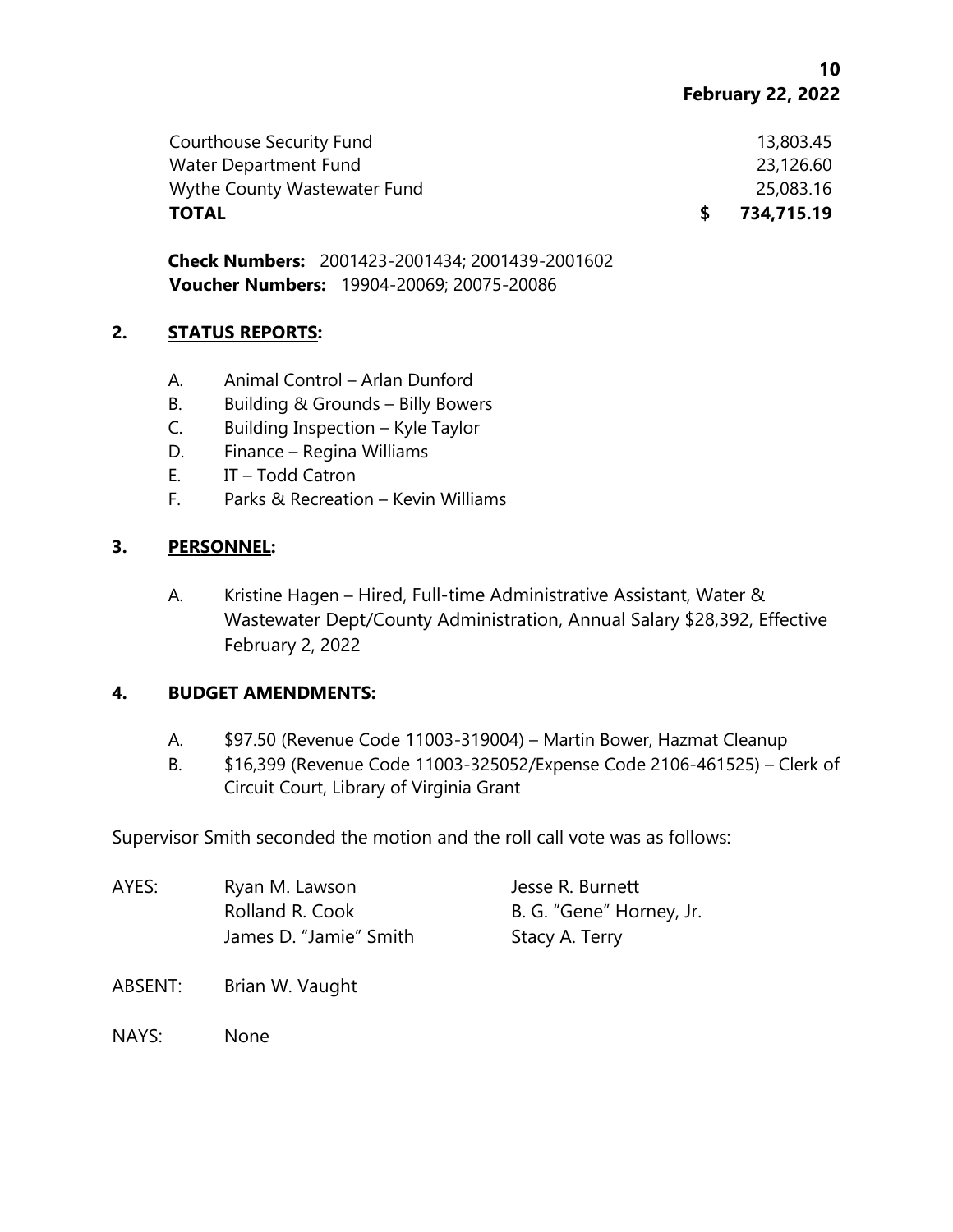| <b>TOTAL</b>                 | 734,715.19 |
|------------------------------|------------|
| Wythe County Wastewater Fund | 25,083.16  |
| Water Department Fund        | 23,126.60  |
| Courthouse Security Fund     | 13,803.45  |

**Check Numbers:** 2001423-2001434; 2001439-2001602 **Voucher Numbers:** 19904-20069; 20075-20086

#### **2. STATUS REPORTS:**

- A. Animal Control Arlan Dunford
- B. Building & Grounds Billy Bowers
- C. Building Inspection Kyle Taylor
- D. Finance Regina Williams
- E. IT Todd Catron
- F. Parks & Recreation Kevin Williams

## **3. PERSONNEL:**

A. Kristine Hagen – Hired, Full-time Administrative Assistant, Water & Wastewater Dept/County Administration, Annual Salary \$28,392, Effective February 2, 2022

## **4. BUDGET AMENDMENTS:**

- A. \$97.50 (Revenue Code 11003-319004) Martin Bower, Hazmat Cleanup
- B. \$16,399 (Revenue Code 11003-325052/Expense Code 2106-461525) Clerk of Circuit Court, Library of Virginia Grant

Supervisor Smith seconded the motion and the roll call vote was as follows:

| AYES: | Ryan M. Lawson         | Jesse R. Burnett         |
|-------|------------------------|--------------------------|
|       | Rolland R. Cook        | B. G. "Gene" Horney, Jr. |
|       | James D. "Jamie" Smith | Stacy A. Terry           |

ABSENT: Brian W. Vaught

NAYS: None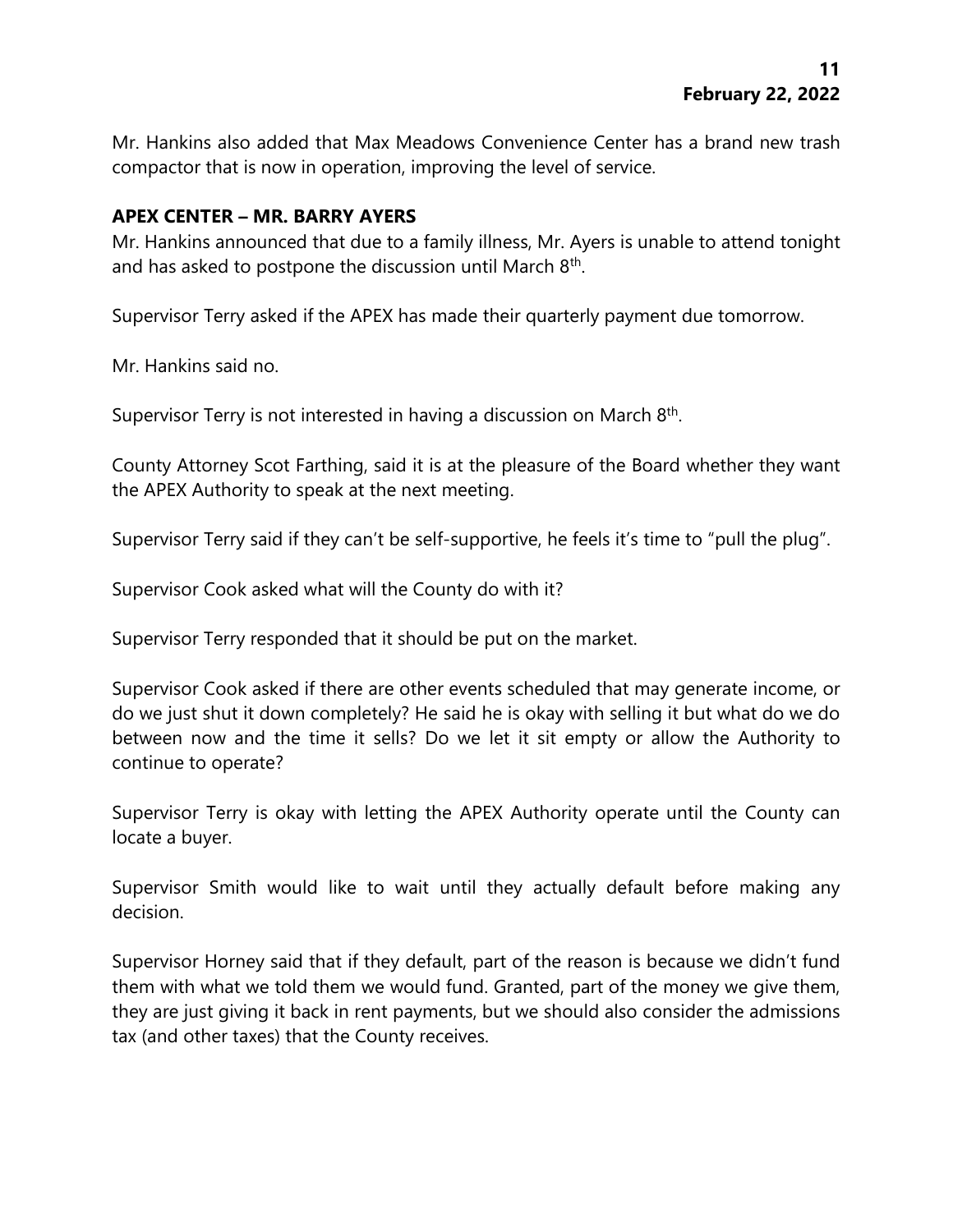Mr. Hankins also added that Max Meadows Convenience Center has a brand new trash compactor that is now in operation, improving the level of service.

#### **APEX CENTER – MR. BARRY AYERS**

Mr. Hankins announced that due to a family illness, Mr. Ayers is unable to attend tonight and has asked to postpone the discussion until March  $8<sup>th</sup>$ .

Supervisor Terry asked if the APEX has made their quarterly payment due tomorrow.

Mr. Hankins said no.

Supervisor Terry is not interested in having a discussion on March 8<sup>th</sup>.

County Attorney Scot Farthing, said it is at the pleasure of the Board whether they want the APEX Authority to speak at the next meeting.

Supervisor Terry said if they can't be self-supportive, he feels it's time to "pull the plug".

Supervisor Cook asked what will the County do with it?

Supervisor Terry responded that it should be put on the market.

Supervisor Cook asked if there are other events scheduled that may generate income, or do we just shut it down completely? He said he is okay with selling it but what do we do between now and the time it sells? Do we let it sit empty or allow the Authority to continue to operate?

Supervisor Terry is okay with letting the APEX Authority operate until the County can locate a buyer.

Supervisor Smith would like to wait until they actually default before making any decision.

Supervisor Horney said that if they default, part of the reason is because we didn't fund them with what we told them we would fund. Granted, part of the money we give them, they are just giving it back in rent payments, but we should also consider the admissions tax (and other taxes) that the County receives.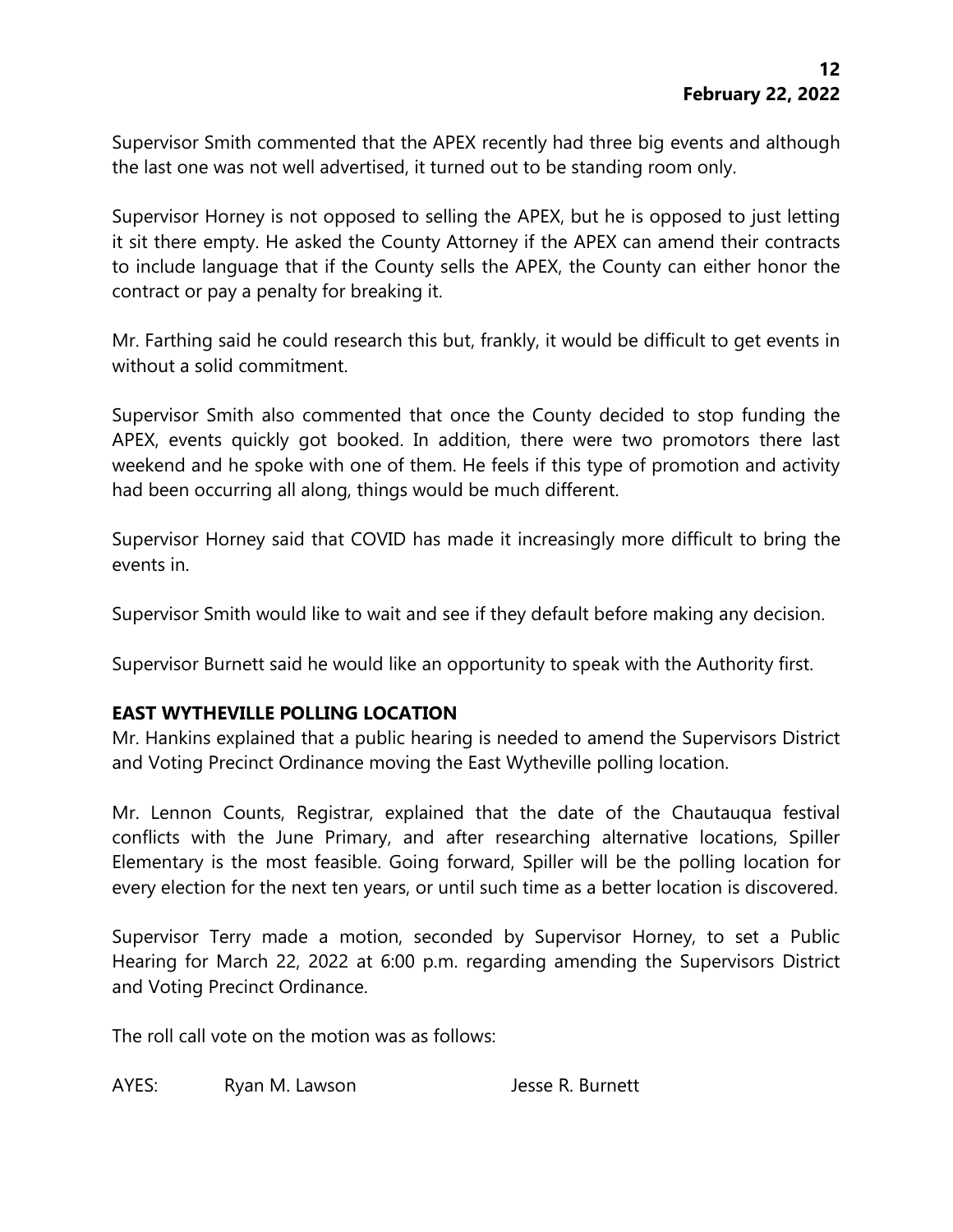Supervisor Smith commented that the APEX recently had three big events and although the last one was not well advertised, it turned out to be standing room only.

Supervisor Horney is not opposed to selling the APEX, but he is opposed to just letting it sit there empty. He asked the County Attorney if the APEX can amend their contracts to include language that if the County sells the APEX, the County can either honor the contract or pay a penalty for breaking it.

Mr. Farthing said he could research this but, frankly, it would be difficult to get events in without a solid commitment.

Supervisor Smith also commented that once the County decided to stop funding the APEX, events quickly got booked. In addition, there were two promotors there last weekend and he spoke with one of them. He feels if this type of promotion and activity had been occurring all along, things would be much different.

Supervisor Horney said that COVID has made it increasingly more difficult to bring the events in.

Supervisor Smith would like to wait and see if they default before making any decision.

Supervisor Burnett said he would like an opportunity to speak with the Authority first.

## **EAST WYTHEVILLE POLLING LOCATION**

Mr. Hankins explained that a public hearing is needed to amend the Supervisors District and Voting Precinct Ordinance moving the East Wytheville polling location.

Mr. Lennon Counts, Registrar, explained that the date of the Chautauqua festival conflicts with the June Primary, and after researching alternative locations, Spiller Elementary is the most feasible. Going forward, Spiller will be the polling location for every election for the next ten years, or until such time as a better location is discovered.

Supervisor Terry made a motion, seconded by Supervisor Horney, to set a Public Hearing for March 22, 2022 at 6:00 p.m. regarding amending the Supervisors District and Voting Precinct Ordinance.

The roll call vote on the motion was as follows:

AYES: Ryan M. Lawson Jesse R. Burnett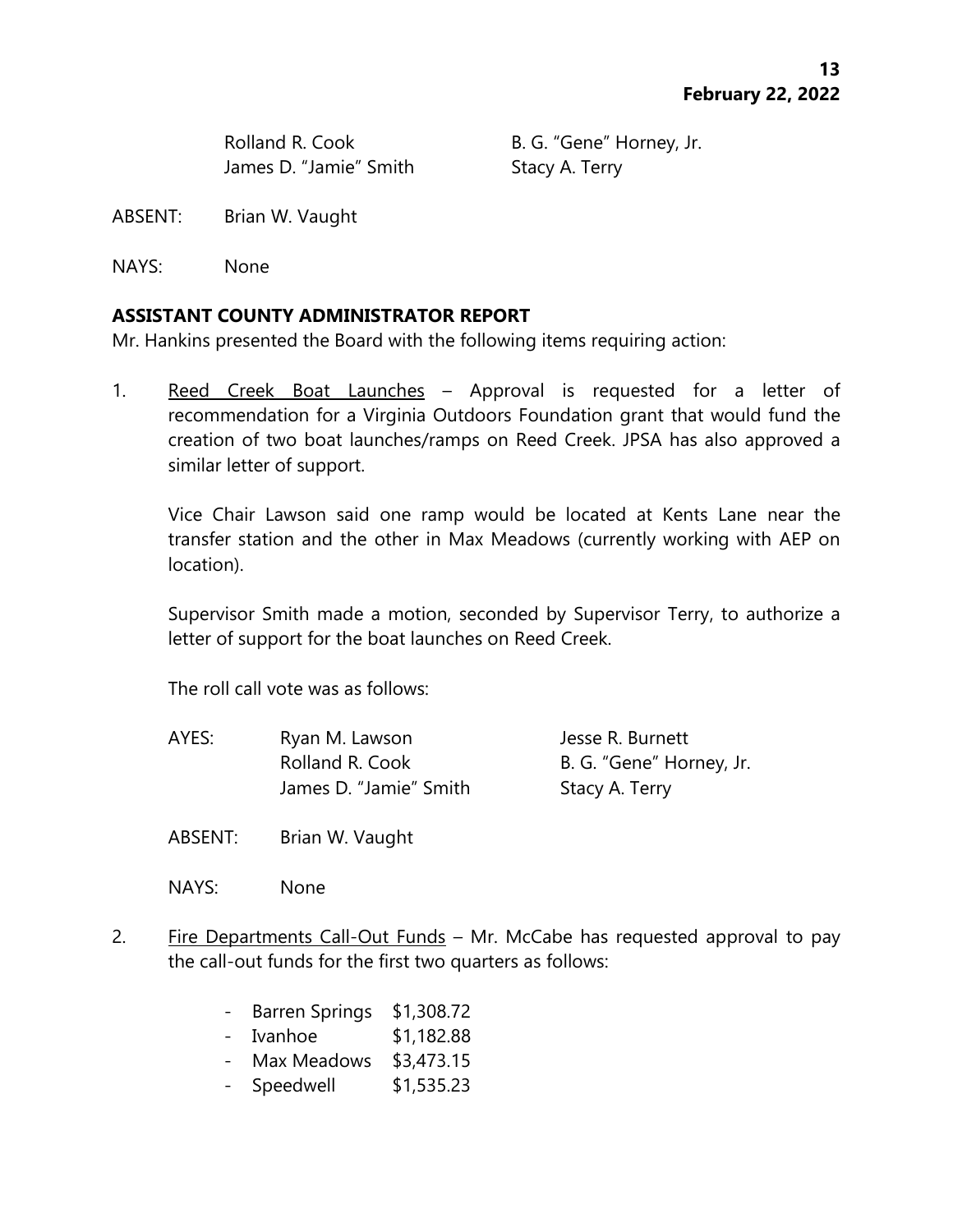James D. "Jamie" Smith Stacy A. Terry

Rolland R. Cook B. G. "Gene" Horney, Jr.

ABSENT: Brian W. Vaught

NAYS: None

#### **ASSISTANT COUNTY ADMINISTRATOR REPORT**

Mr. Hankins presented the Board with the following items requiring action:

1. Reed Creek Boat Launches – Approval is requested for a letter of recommendation for a Virginia Outdoors Foundation grant that would fund the creation of two boat launches/ramps on Reed Creek. JPSA has also approved a similar letter of support.

Vice Chair Lawson said one ramp would be located at Kents Lane near the transfer station and the other in Max Meadows (currently working with AEP on location).

Supervisor Smith made a motion, seconded by Supervisor Terry, to authorize a letter of support for the boat launches on Reed Creek.

The roll call vote was as follows:

AYES: Ryan M. Lawson Jesse R. Burnett Rolland R. Cook B. G. "Gene" Horney, Jr. James D. "Jamie" Smith Stacy A. Terry

ABSENT: Brian W. Vaught

NAYS: None

- 2. Fire Departments Call-Out Funds Mr. McCabe has requested approval to pay the call-out funds for the first two quarters as follows:
	- Barren Springs \$1,308.72
	- Ivanhoe \$1,182.88
	- Max Meadows \$3,473.15
	- Speedwell \$1,535.23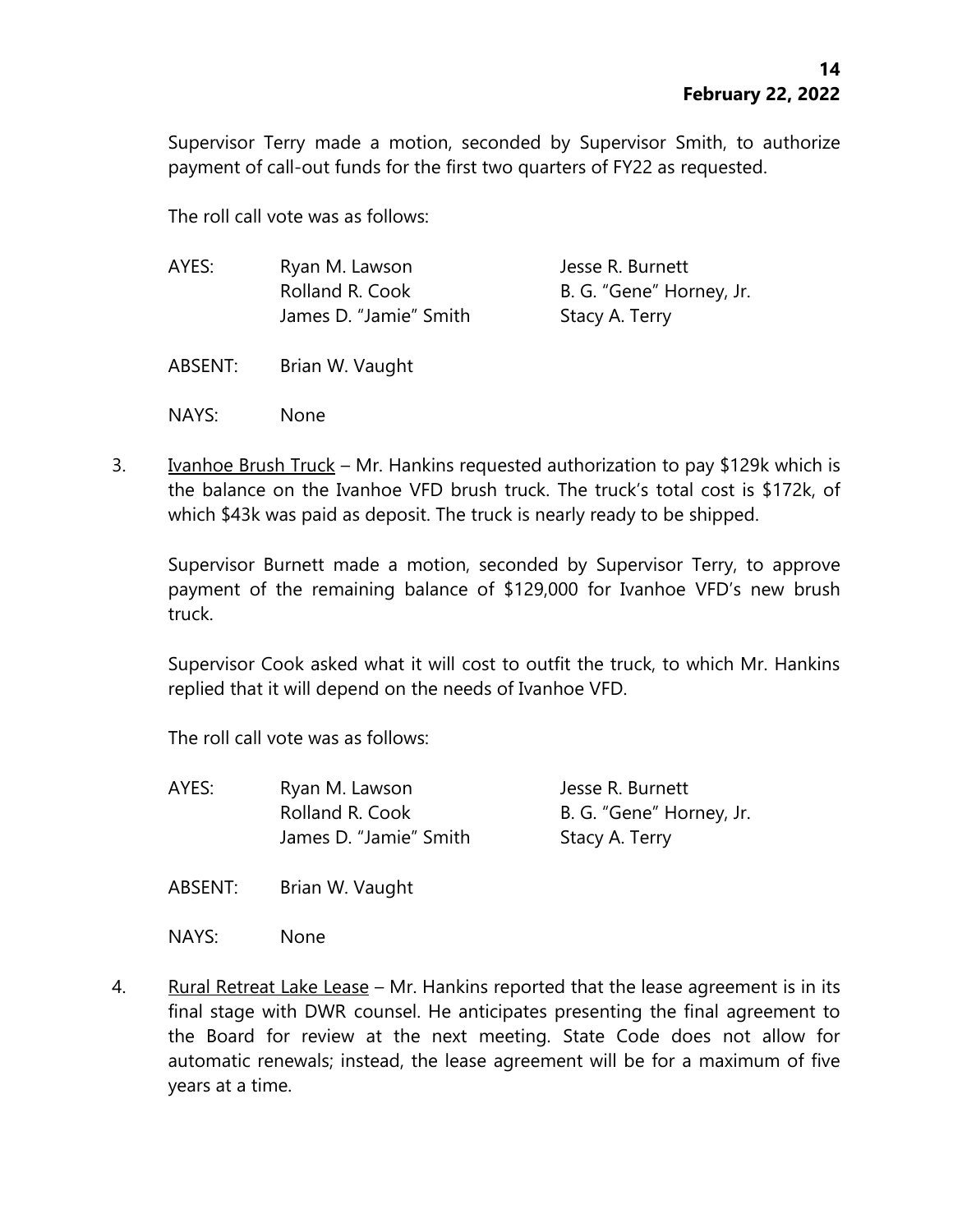Supervisor Terry made a motion, seconded by Supervisor Smith, to authorize payment of call-out funds for the first two quarters of FY22 as requested.

The roll call vote was as follows:

| AYES:   | Ryan M. Lawson<br>Rolland R. Cook<br>James D. "Jamie" Smith | Jesse R. Burnett<br>B. G. "Gene" Horney, Jr.<br>Stacy A. Terry |
|---------|-------------------------------------------------------------|----------------------------------------------------------------|
| ABSENT: | Brian W. Vaught                                             |                                                                |
| NAYS:   | None                                                        |                                                                |

3. Ivanhoe Brush Truck – Mr. Hankins requested authorization to pay \$129k which is the balance on the Ivanhoe VFD brush truck. The truck's total cost is \$172k, of which \$43k was paid as deposit. The truck is nearly ready to be shipped.

Supervisor Burnett made a motion, seconded by Supervisor Terry, to approve payment of the remaining balance of \$129,000 for Ivanhoe VFD's new brush truck.

Supervisor Cook asked what it will cost to outfit the truck, to which Mr. Hankins replied that it will depend on the needs of Ivanhoe VFD.

The roll call vote was as follows:

AYES: Ryan M. Lawson Jesse R. Burnett Rolland R. Cook B. G. "Gene" Horney, Jr. James D. "Jamie" Smith Stacy A. Terry

ABSENT: Brian W. Vaught

NAYS: None

4. Rural Retreat Lake Lease – Mr. Hankins reported that the lease agreement is in its final stage with DWR counsel. He anticipates presenting the final agreement to the Board for review at the next meeting. State Code does not allow for automatic renewals; instead, the lease agreement will be for a maximum of five years at a time.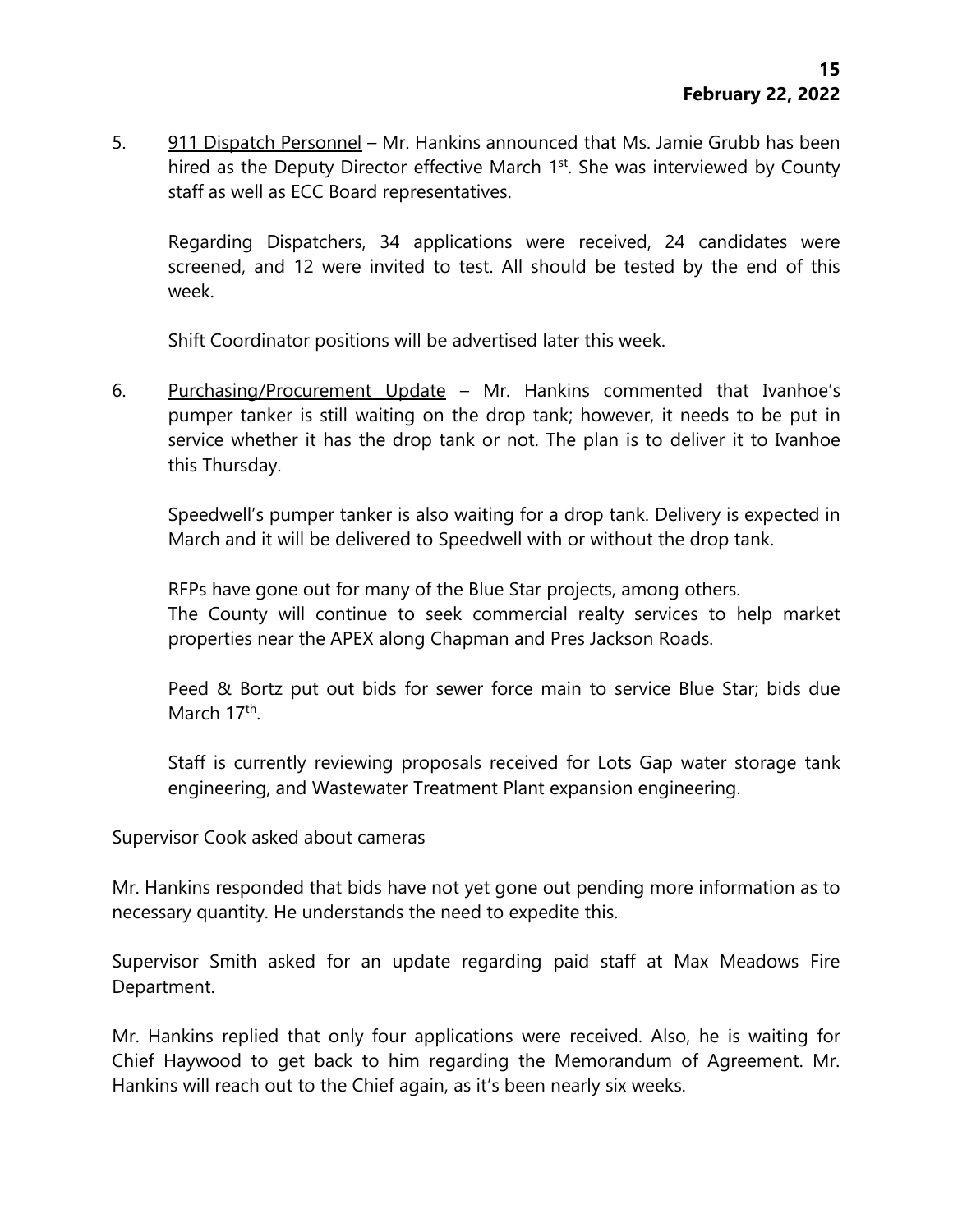5. 911 Dispatch Personnel – Mr. Hankins announced that Ms. Jamie Grubb has been hired as the Deputy Director effective March 1<sup>st</sup>. She was interviewed by County staff as well as ECC Board representatives.

Regarding Dispatchers, 34 applications were received, 24 candidates were screened, and 12 were invited to test. All should be tested by the end of this week.

Shift Coordinator positions will be advertised later this week.

6. Purchasing/Procurement Update - Mr. Hankins commented that Ivanhoe's pumper tanker is still waiting on the drop tank; however, it needs to be put in service whether it has the drop tank or not. The plan is to deliver it to Ivanhoe this Thursday.

Speedwell's pumper tanker is also waiting for a drop tank. Delivery is expected in March and it will be delivered to Speedwell with or without the drop tank.

RFPs have gone out for many of the Blue Star projects, among others.

The County will continue to seek commercial realty services to help market properties near the APEX along Chapman and Pres Jackson Roads.

Peed & Bortz put out bids for sewer force main to service Blue Star; bids due March 17<sup>th</sup>.

Staff is currently reviewing proposals received for Lots Gap water storage tank engineering, and Wastewater Treatment Plant expansion engineering.

Supervisor Cook asked about cameras

Mr. Hankins responded that bids have not yet gone out pending more information as to necessary quantity. He understands the need to expedite this.

Supervisor Smith asked for an update regarding paid staff at Max Meadows Fire Department.

Mr. Hankins replied that only four applications were received. Also, he is waiting for Chief Haywood to get back to him regarding the Memorandum of Agreement. Mr. Hankins will reach out to the Chief again, as it's been nearly six weeks.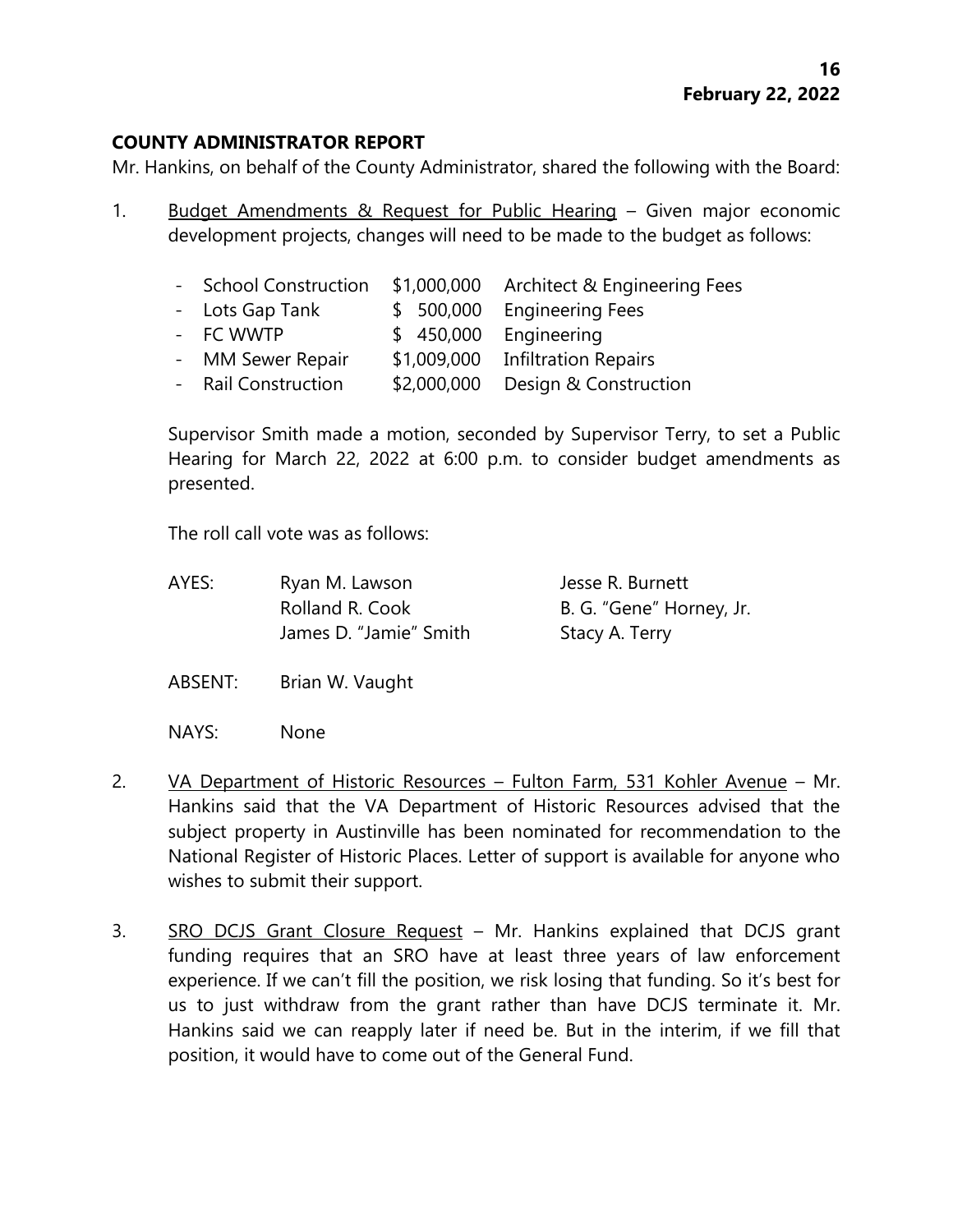## **COUNTY ADMINISTRATOR REPORT**

Mr. Hankins, on behalf of the County Administrator, shared the following with the Board:

1. Budget Amendments & Request for Public Hearing – Given major economic development projects, changes will need to be made to the budget as follows:

| - School Construction |             | \$1,000,000 Architect & Engineering Fees |
|-----------------------|-------------|------------------------------------------|
| - Lots Gap Tank       |             | \$ 500,000 Engineering Fees              |
| - FC WWTP             |             | \$ 450,000 Engineering                   |
| - MM Sewer Repair     |             | \$1,009,000 Infiltration Repairs         |
| - Rail Construction   | \$2,000,000 | Design & Construction                    |

Supervisor Smith made a motion, seconded by Supervisor Terry, to set a Public Hearing for March 22, 2022 at 6:00 p.m. to consider budget amendments as presented.

The roll call vote was as follows:

| AYES: | Ryan M. Lawson         | Jesse R. Burnett         |
|-------|------------------------|--------------------------|
|       | Rolland R. Cook        | B. G. "Gene" Horney, Jr. |
|       | James D. "Jamie" Smith | Stacy A. Terry           |

ABSENT: Brian W. Vaught

NAYS: None

- 2. VA Department of Historic Resources Fulton Farm, 531 Kohler Avenue Mr. Hankins said that the VA Department of Historic Resources advised that the subject property in Austinville has been nominated for recommendation to the National Register of Historic Places. Letter of support is available for anyone who wishes to submit their support.
- 3. SRO DCJS Grant Closure Request Mr. Hankins explained that DCJS grant funding requires that an SRO have at least three years of law enforcement experience. If we can't fill the position, we risk losing that funding. So it's best for us to just withdraw from the grant rather than have DCJS terminate it. Mr. Hankins said we can reapply later if need be. But in the interim, if we fill that position, it would have to come out of the General Fund.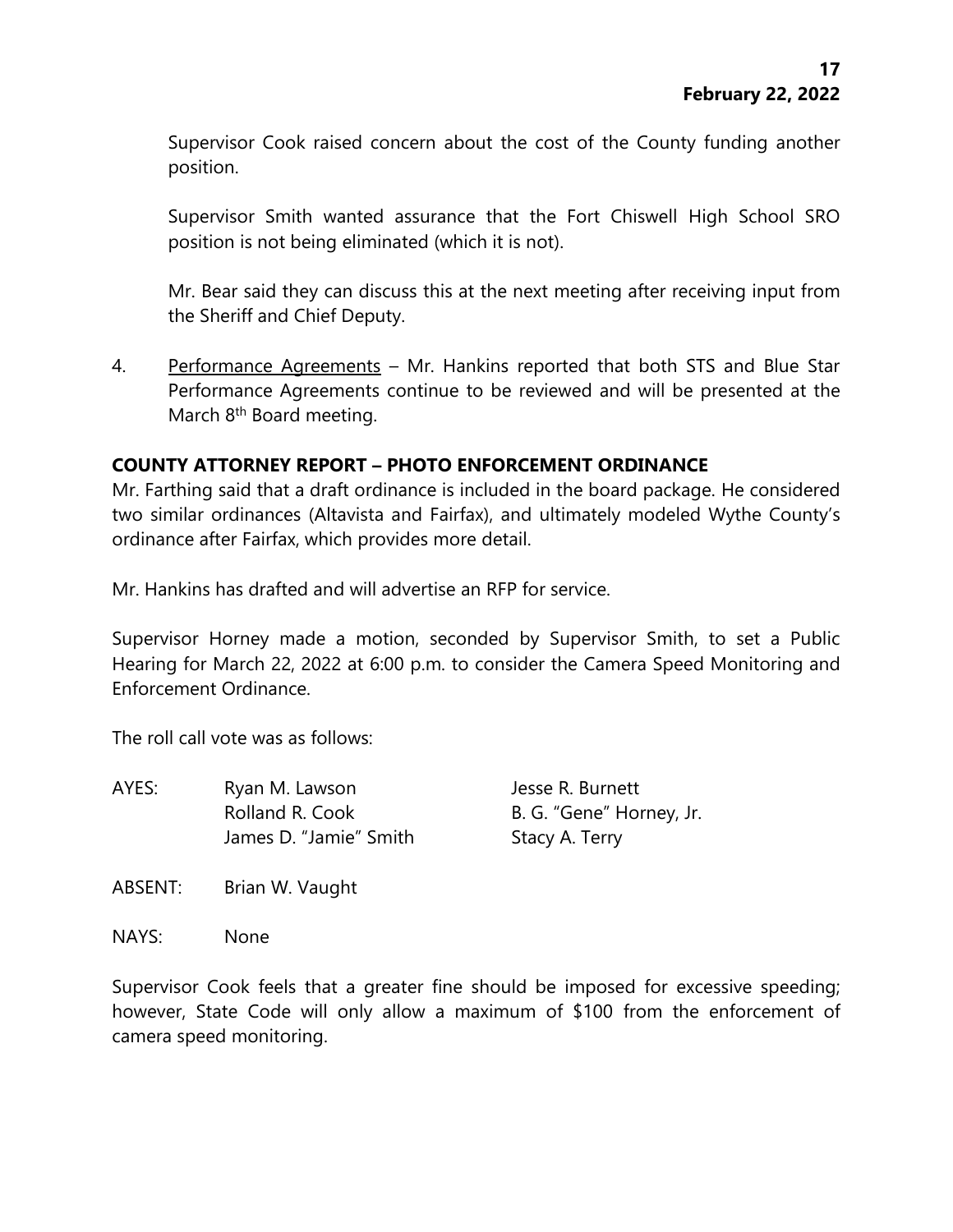Supervisor Cook raised concern about the cost of the County funding another position.

Supervisor Smith wanted assurance that the Fort Chiswell High School SRO position is not being eliminated (which it is not).

Mr. Bear said they can discuss this at the next meeting after receiving input from the Sheriff and Chief Deputy.

4. Performance Agreements – Mr. Hankins reported that both STS and Blue Star Performance Agreements continue to be reviewed and will be presented at the March 8<sup>th</sup> Board meeting.

## **COUNTY ATTORNEY REPORT – PHOTO ENFORCEMENT ORDINANCE**

Mr. Farthing said that a draft ordinance is included in the board package. He considered two similar ordinances (Altavista and Fairfax), and ultimately modeled Wythe County's ordinance after Fairfax, which provides more detail.

Mr. Hankins has drafted and will advertise an RFP for service.

Supervisor Horney made a motion, seconded by Supervisor Smith, to set a Public Hearing for March 22, 2022 at 6:00 p.m. to consider the Camera Speed Monitoring and Enforcement Ordinance.

The roll call vote was as follows:

AYES: Ryan M. Lawson Jesse R. Burnett Rolland R. Cook B. G. "Gene" Horney, Jr. James D. "Jamie" Smith Stacy A. Terry

ABSENT: Brian W. Vaught

NAYS: None

Supervisor Cook feels that a greater fine should be imposed for excessive speeding; however, State Code will only allow a maximum of \$100 from the enforcement of camera speed monitoring.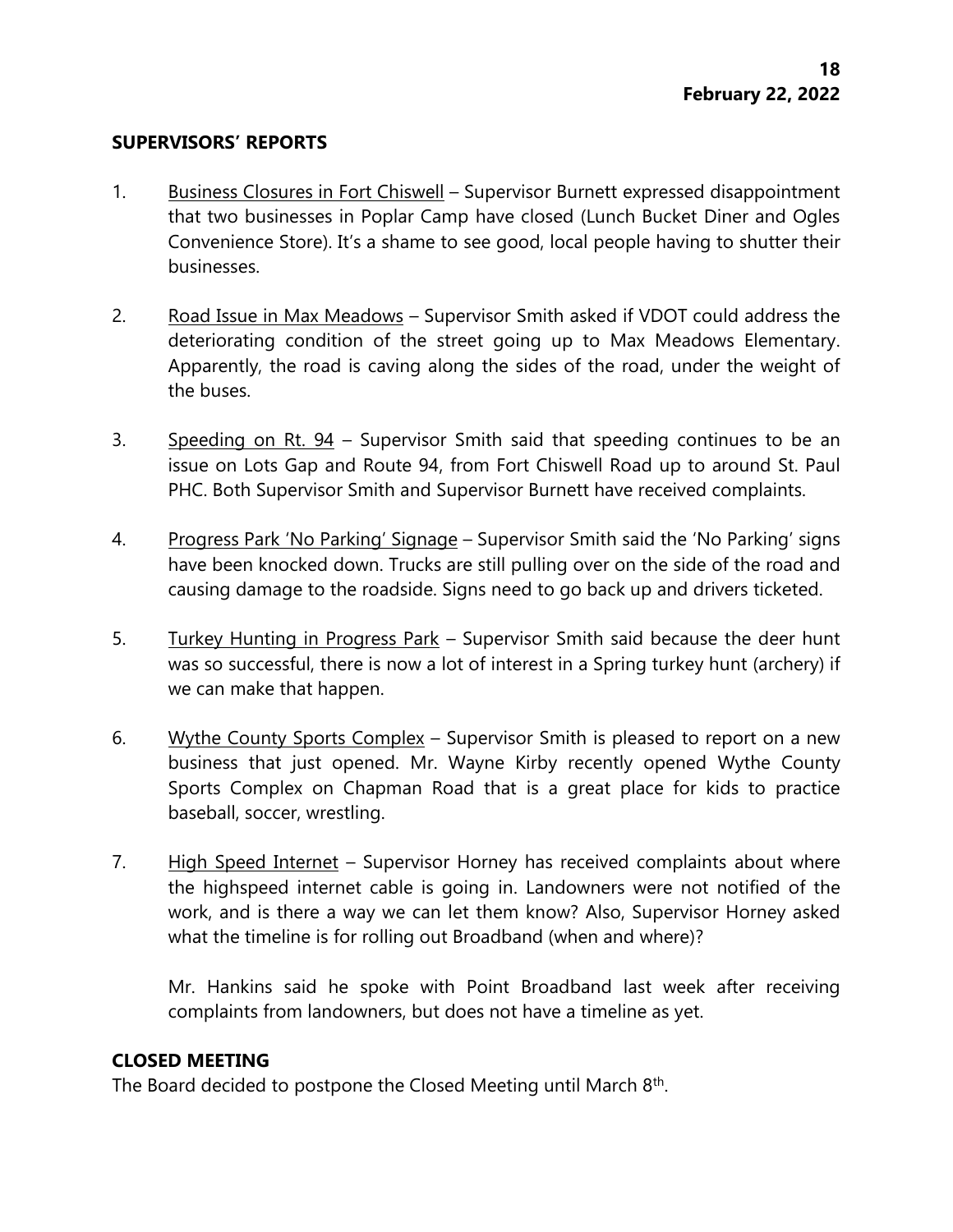#### **SUPERVISORS' REPORTS**

- 1. Business Closures in Fort Chiswell Supervisor Burnett expressed disappointment that two businesses in Poplar Camp have closed (Lunch Bucket Diner and Ogles Convenience Store). It's a shame to see good, local people having to shutter their businesses.
- 2. Road Issue in Max Meadows Supervisor Smith asked if VDOT could address the deteriorating condition of the street going up to Max Meadows Elementary. Apparently, the road is caving along the sides of the road, under the weight of the buses.
- 3. Speeding on Rt.  $94$  Supervisor Smith said that speeding continues to be an issue on Lots Gap and Route 94, from Fort Chiswell Road up to around St. Paul PHC. Both Supervisor Smith and Supervisor Burnett have received complaints.
- 4. Progress Park 'No Parking' Signage Supervisor Smith said the 'No Parking' signs have been knocked down. Trucks are still pulling over on the side of the road and causing damage to the roadside. Signs need to go back up and drivers ticketed.
- 5. Turkey Hunting in Progress Park Supervisor Smith said because the deer hunt was so successful, there is now a lot of interest in a Spring turkey hunt (archery) if we can make that happen.
- 6. Wythe County Sports Complex Supervisor Smith is pleased to report on a new business that just opened. Mr. Wayne Kirby recently opened Wythe County Sports Complex on Chapman Road that is a great place for kids to practice baseball, soccer, wrestling.
- 7. High Speed Internet Supervisor Horney has received complaints about where the highspeed internet cable is going in. Landowners were not notified of the work, and is there a way we can let them know? Also, Supervisor Horney asked what the timeline is for rolling out Broadband (when and where)?

Mr. Hankins said he spoke with Point Broadband last week after receiving complaints from landowners, but does not have a timeline as yet.

## **CLOSED MEETING**

The Board decided to postpone the Closed Meeting until March  $8<sup>th</sup>$ .